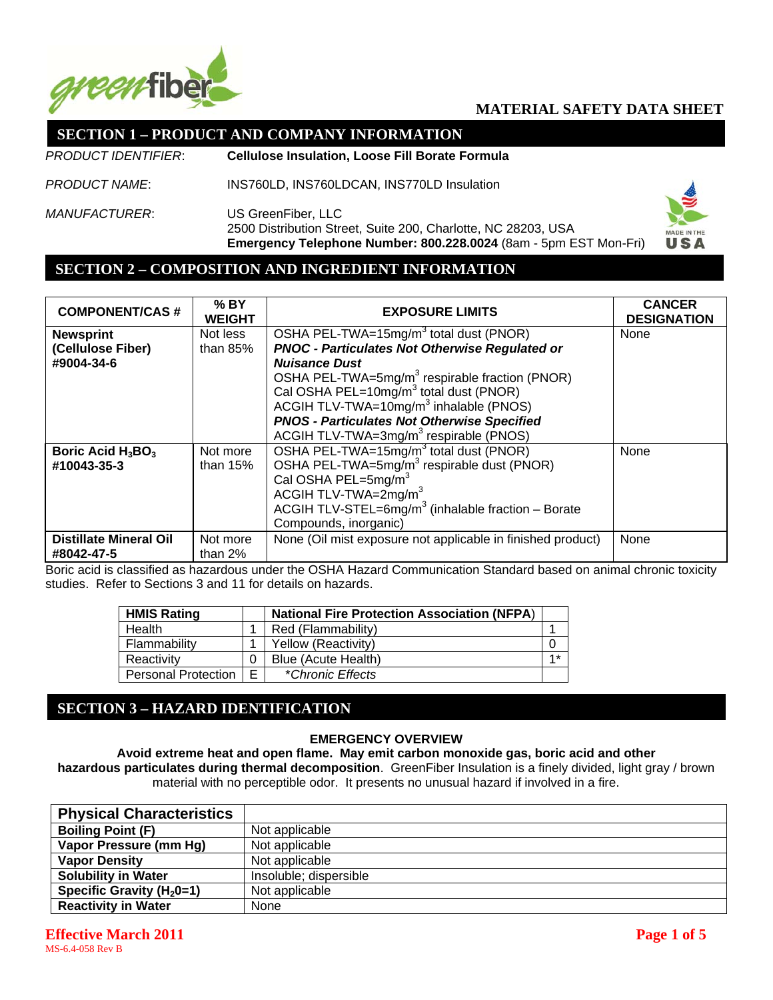

## **SECTION 1 – PRODUCT AND COMPANY INFORMATION**

*PRODUCT IDENTIFIER*: **Cellulose Insulation, Loose Fill Borate Formula**

*PRODUCT NAME*: INS760LD, INS760LDCAN, INS770LD Insulation

*MANUFACTURER*: US GreenFiber, LLC 2500 Distribution Street, Suite 200, Charlotte, NC 28203, USA **Emergency Telephone Number: 800.228.0024** (8am - 5pm EST Mon-Fri)



#### **SECTION 2 – COMPOSITION AND INGREDIENT INFORMATION**

| <b>COMPONENT/CAS#</b>         | $%$ BY<br><b>WEIGHT</b> | <b>EXPOSURE LIMITS</b>                                              | <b>CANCER</b><br><b>DESIGNATION</b> |
|-------------------------------|-------------------------|---------------------------------------------------------------------|-------------------------------------|
| <b>Newsprint</b>              | Not less                | OSHA PEL-TWA=15mg/m <sup>3</sup> total dust (PNOR)                  | None                                |
| (Cellulose Fiber)             | than $85%$              | <b>PNOC - Particulates Not Otherwise Regulated or</b>               |                                     |
| #9004-34-6                    |                         | <b>Nuisance Dust</b>                                                |                                     |
|                               |                         | OSHA PEL-TWA=5mg/m <sup>3</sup> respirable fraction (PNOR)          |                                     |
|                               |                         | Cal OSHA PEL=10mg/m <sup>3</sup> total dust (PNOR)                  |                                     |
|                               |                         | ACGIH TLV-TWA=10 $mg/m3$ inhalable (PNOS)                           |                                     |
|                               |                         | <b>PNOS - Particulates Not Otherwise Specified</b>                  |                                     |
|                               |                         | ACGIH TLV-TWA=3mg/m <sup>3</sup> respirable (PNOS)                  |                                     |
| Boric Acid $H_3BO_3$          | Not more                | OSHA PEL-TWA=15mg/m <sup>3</sup> total dust (PNOR)<br>None          |                                     |
| #10043-35-3                   | than $15%$              | OSHA PEL-TWA=5mg/m <sup>3</sup> respirable dust (PNOR)              |                                     |
|                               |                         | Cal OSHA PEL=5mg/m <sup>3</sup>                                     |                                     |
|                               |                         | ACGIH TLV-TWA=2mg/m <sup>3</sup>                                    |                                     |
|                               |                         | ACGIH TLV-STEL=6 $mg/m3$ (inhalable fraction – Borate               |                                     |
|                               |                         | Compounds, inorganic)                                               |                                     |
| <b>Distillate Mineral Oil</b> | Not more                | None (Oil mist exposure not applicable in finished product)<br>None |                                     |
| #8042-47-5                    | than $2\%$              |                                                                     |                                     |

Boric acid is classified as hazardous under the OSHA Hazard Communication Standard based on animal chronic toxicity studies. Refer to Sections 3 and 11 for details on hazards.

| <b>HMIS Rating</b>         |   | <b>National Fire Protection Association (NFPA)</b> |  |
|----------------------------|---|----------------------------------------------------|--|
| Health                     |   | Red (Flammability)                                 |  |
| Flammability               |   | Yellow (Reactivity)                                |  |
| Reactivity                 |   | Blue (Acute Health)                                |  |
| <b>Personal Protection</b> | E | *Chronic Effects                                   |  |

# **SECTION 3 – HAZARD IDENTIFICATION**

#### **EMERGENCY OVERVIEW**

**Avoid extreme heat and open flame. May emit carbon monoxide gas, boric acid and other hazardous particulates during thermal decomposition**. GreenFiber Insulation is a finely divided, light gray / brown material with no perceptible odor. It presents no unusual hazard if involved in a fire.

| <b>Physical Characteristics</b> |                        |
|---------------------------------|------------------------|
| <b>Boiling Point (F)</b>        | Not applicable         |
| Vapor Pressure (mm Hg)          | Not applicable         |
| <b>Vapor Density</b>            | Not applicable         |
| <b>Solubility in Water</b>      | Insoluble; dispersible |
| Specific Gravity ( $H_2$ 0=1)   | Not applicable         |
| <b>Reactivity in Water</b>      | None                   |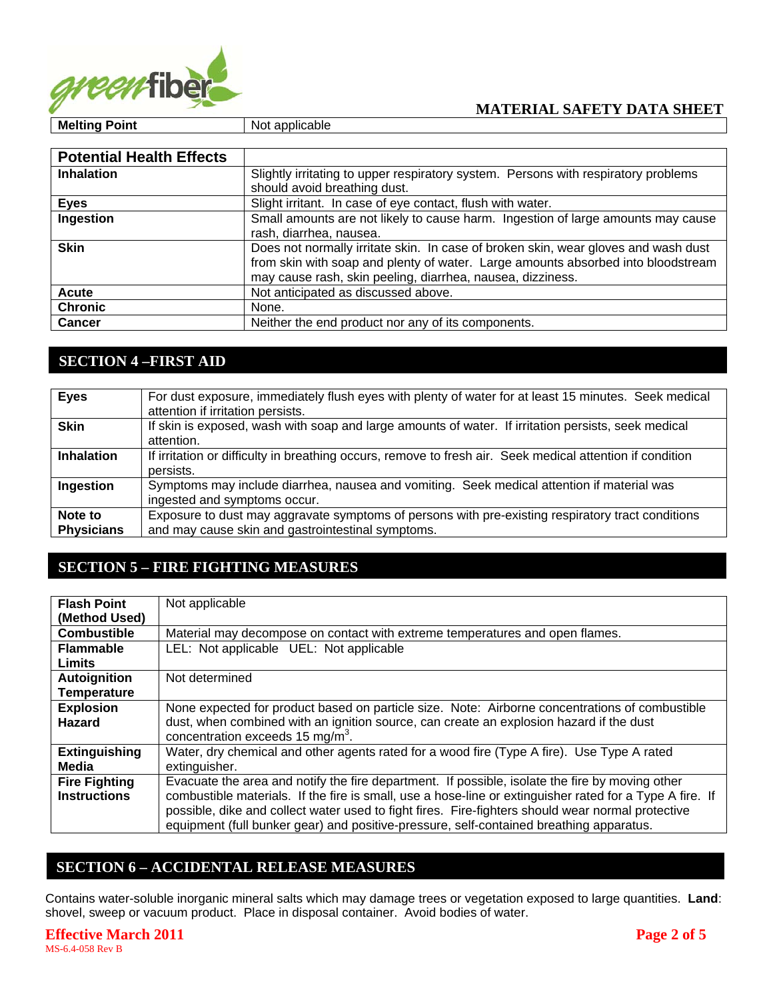

| <b>Potential Health Effects</b> |                                                                                                                                                                                                                                      |
|---------------------------------|--------------------------------------------------------------------------------------------------------------------------------------------------------------------------------------------------------------------------------------|
| <b>Inhalation</b>               | Slightly irritating to upper respiratory system. Persons with respiratory problems<br>should avoid breathing dust.                                                                                                                   |
| <b>Eyes</b>                     | Slight irritant. In case of eye contact, flush with water.                                                                                                                                                                           |
| Ingestion                       | Small amounts are not likely to cause harm. Ingestion of large amounts may cause<br>rash, diarrhea, nausea.                                                                                                                          |
| <b>Skin</b>                     | Does not normally irritate skin. In case of broken skin, wear gloves and wash dust<br>from skin with soap and plenty of water. Large amounts absorbed into bloodstream<br>may cause rash, skin peeling, diarrhea, nausea, dizziness. |
| <b>Acute</b>                    | Not anticipated as discussed above.                                                                                                                                                                                                  |
| <b>Chronic</b>                  | None.                                                                                                                                                                                                                                |
| <b>Cancer</b>                   | Neither the end product nor any of its components.                                                                                                                                                                                   |

# **SECTION 4 –FIRST AID**

| <b>Eyes</b>                  | For dust exposure, immediately flush eyes with plenty of water for at least 15 minutes. Seek medical<br>attention if irritation persists.              |
|------------------------------|--------------------------------------------------------------------------------------------------------------------------------------------------------|
| <b>Skin</b>                  | If skin is exposed, wash with soap and large amounts of water. If irritation persists, seek medical<br>attention.                                      |
| <b>Inhalation</b>            | If irritation or difficulty in breathing occurs, remove to fresh air. Seek medical attention if condition<br>persists.                                 |
| Ingestion                    | Symptoms may include diarrhea, nausea and vomiting. Seek medical attention if material was<br>ingested and symptoms occur.                             |
| Note to<br><b>Physicians</b> | Exposure to dust may aggravate symptoms of persons with pre-existing respiratory tract conditions<br>and may cause skin and gastrointestinal symptoms. |

# **SECTION 5 – FIRE FIGHTING MEASURES**

| <b>Flash Point</b>   | Not applicable                                                                                           |
|----------------------|----------------------------------------------------------------------------------------------------------|
| (Method Used)        |                                                                                                          |
| <b>Combustible</b>   | Material may decompose on contact with extreme temperatures and open flames.                             |
| <b>Flammable</b>     | LEL: Not applicable UEL: Not applicable                                                                  |
| Limits               |                                                                                                          |
| <b>Autoignition</b>  | Not determined                                                                                           |
| <b>Temperature</b>   |                                                                                                          |
| <b>Explosion</b>     | None expected for product based on particle size. Note: Airborne concentrations of combustible           |
| <b>Hazard</b>        | dust, when combined with an ignition source, can create an explosion hazard if the dust                  |
|                      | concentration exceeds 15 mg/m <sup>3</sup> .                                                             |
| <b>Extinguishing</b> | Water, dry chemical and other agents rated for a wood fire (Type A fire). Use Type A rated               |
| Media                | extinguisher.                                                                                            |
| <b>Fire Fighting</b> | Evacuate the area and notify the fire department. If possible, isolate the fire by moving other          |
| <b>Instructions</b>  | combustible materials. If the fire is small, use a hose-line or extinguisher rated for a Type A fire. If |
|                      | possible, dike and collect water used to fight fires. Fire-fighters should wear normal protective        |
|                      | equipment (full bunker gear) and positive-pressure, self-contained breathing apparatus.                  |

# **SECTION 6 – ACCIDENTAL RELEASE MEASURES**

Contains water-soluble inorganic mineral salts which may damage trees or vegetation exposed to large quantities. **Land**: shovel, sweep or vacuum product. Place in disposal container. Avoid bodies of water.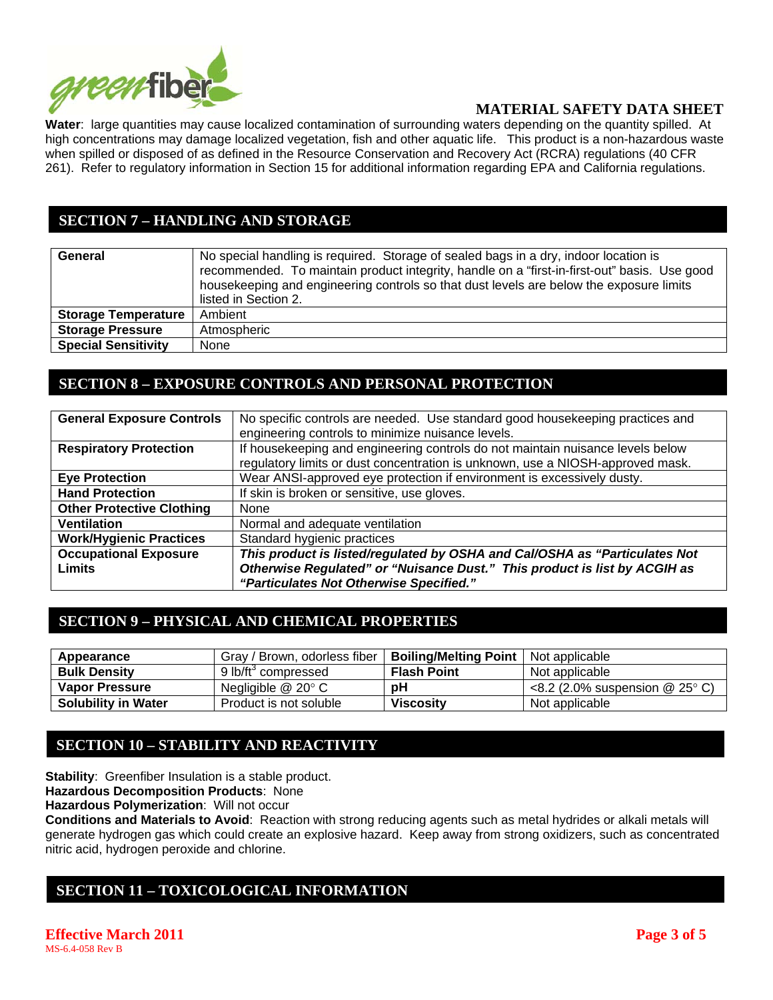

**Water**: large quantities may cause localized contamination of surrounding waters depending on the quantity spilled. At high concentrations may damage localized vegetation, fish and other aquatic life. This product is a non-hazardous waste when spilled or disposed of as defined in the Resource Conservation and Recovery Act (RCRA) regulations (40 CFR 261). Refer to regulatory information in Section 15 for additional information regarding EPA and California regulations.

# **SECTION 7 – HANDLING AND STORAGE**

| General                    | No special handling is required. Storage of sealed bags in a dry, indoor location is<br>recommended. To maintain product integrity, handle on a "first-in-first-out" basis. Use good<br>house keeping and engineering controls so that dust levels are below the exposure limits<br>listed in Section 2. |
|----------------------------|----------------------------------------------------------------------------------------------------------------------------------------------------------------------------------------------------------------------------------------------------------------------------------------------------------|
| <b>Storage Temperature</b> | Ambient                                                                                                                                                                                                                                                                                                  |
| <b>Storage Pressure</b>    | Atmospheric                                                                                                                                                                                                                                                                                              |
| <b>Special Sensitivity</b> | None                                                                                                                                                                                                                                                                                                     |

#### **SECTION 8 – EXPOSURE CONTROLS AND PERSONAL PROTECTION**

| <b>General Exposure Controls</b> | No specific controls are needed. Use standard good housekeeping practices and  |  |
|----------------------------------|--------------------------------------------------------------------------------|--|
|                                  | engineering controls to minimize nuisance levels.                              |  |
| <b>Respiratory Protection</b>    | If housekeeping and engineering controls do not maintain nuisance levels below |  |
|                                  | regulatory limits or dust concentration is unknown, use a NIOSH-approved mask. |  |
| <b>Eye Protection</b>            | Wear ANSI-approved eye protection if environment is excessively dusty.         |  |
| <b>Hand Protection</b>           | If skin is broken or sensitive, use gloves.                                    |  |
| <b>Other Protective Clothing</b> | <b>None</b>                                                                    |  |
| Ventilation                      | Normal and adequate ventilation                                                |  |
| <b>Work/Hygienic Practices</b>   | Standard hygienic practices                                                    |  |
| <b>Occupational Exposure</b>     | This product is listed/regulated by OSHA and Cal/OSHA as "Particulates Not     |  |
| <b>Limits</b>                    | Otherwise Regulated" or "Nuisance Dust." This product is list by ACGIH as      |  |
|                                  | "Particulates Not Otherwise Specified."                                        |  |

### **SECTION 9 – PHYSICAL AND CHEMICAL PROPERTIES**

| Appearance                 | Gray / Brown, odorless fiber    | <b>Boiling/Melting Point</b> | Not applicable                                |
|----------------------------|---------------------------------|------------------------------|-----------------------------------------------|
| <b>Bulk Density</b>        | 9 lb/ft <sup>3</sup> compressed | <b>Flash Point</b>           | Not applicable                                |
| <b>Vapor Pressure</b>      | Negligible $@$ 20 $^{\circ}$ C  | рH                           | $\leq$ 8.2 (2.0% suspension @ 25 $\degree$ C) |
| <b>Solubility in Water</b> | Product is not soluble          | <b>Viscosity</b>             | Not applicable                                |

# **SECTION 10 – STABILITY AND REACTIVITY**

**Stability:** Greenfiber Insulation is a stable product.

**Hazardous Decomposition Products**: None

**Hazardous Polymerization**: Will not occur

**Conditions and Materials to Avoid**: Reaction with strong reducing agents such as metal hydrides or alkali metals will generate hydrogen gas which could create an explosive hazard. Keep away from strong oxidizers, such as concentrated nitric acid, hydrogen peroxide and chlorine.

# **SECTION 11 – TOXICOLOGICAL INFORMATION**

**Effective March 2011 Page 3 of 5 Page 3 of 5** MS-6.4-058 Rev B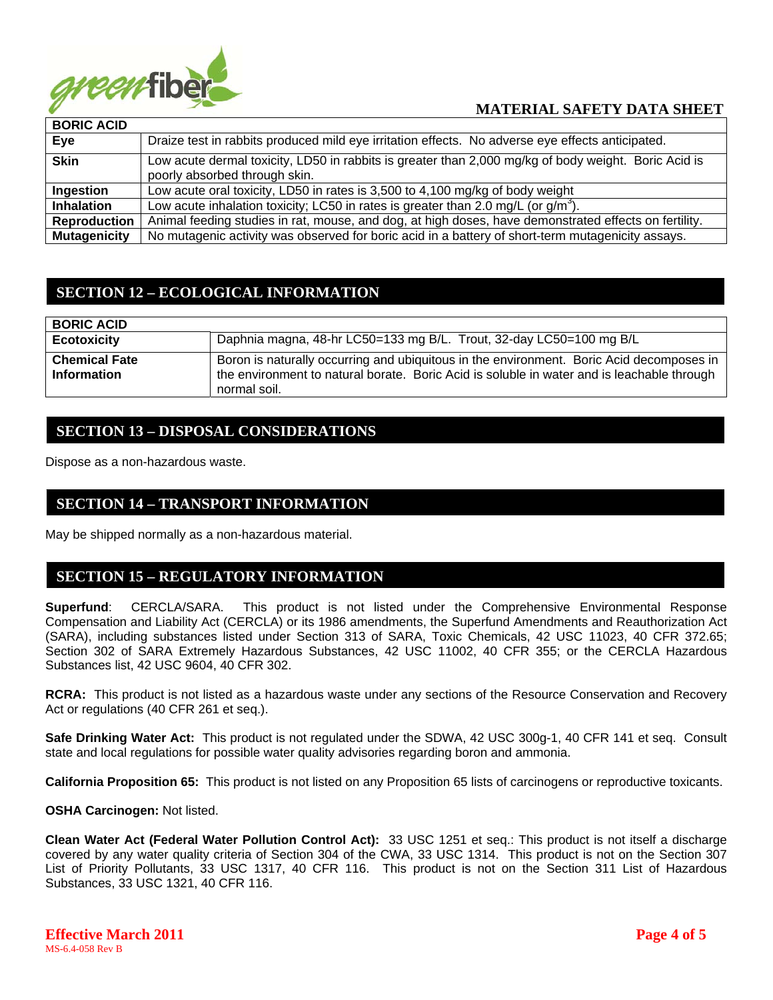

| <b>BORIC ACID</b>   |                                                                                                                                       |
|---------------------|---------------------------------------------------------------------------------------------------------------------------------------|
| Eye                 | Draize test in rabbits produced mild eye irritation effects. No adverse eye effects anticipated.                                      |
| <b>Skin</b>         | Low acute dermal toxicity, LD50 in rabbits is greater than 2,000 mg/kg of body weight. Boric Acid is<br>poorly absorbed through skin. |
| Ingestion           | Low acute oral toxicity, LD50 in rates is 3,500 to 4,100 mg/kg of body weight                                                         |
| <b>Inhalation</b>   | Low acute inhalation toxicity; LC50 in rates is greater than 2.0 mg/L (or $g/m3$ ).                                                   |
| <b>Reproduction</b> | Animal feeding studies in rat, mouse, and dog, at high doses, have demonstrated effects on fertility.                                 |
| <b>Mutagenicity</b> | No mutagenic activity was observed for boric acid in a battery of short-term mutagenicity assays.                                     |

# **SECTION 12 – ECOLOGICAL INFORMATION**

| <b>BORIC ACID</b>                          |                                                                                                                                                                                                        |
|--------------------------------------------|--------------------------------------------------------------------------------------------------------------------------------------------------------------------------------------------------------|
| <b>Ecotoxicity</b>                         | Daphnia magna, 48-hr LC50=133 mg B/L. Trout, 32-day LC50=100 mg B/L                                                                                                                                    |
| <b>Chemical Fate</b><br><b>Information</b> | Boron is naturally occurring and ubiquitous in the environment. Boric Acid decomposes in<br>the environment to natural borate. Boric Acid is soluble in water and is leachable through<br>normal soil. |

#### **SECTION 13 – DISPOSAL CONSIDERATIONS**

Dispose as a non-hazardous waste.

#### **SECTION 14 – TRANSPORT INFORMATION**

May be shipped normally as a non-hazardous material.

### **SECTION 15 – REGULATORY INFORMATION**

**Superfund**: CERCLA/SARA. This product is not listed under the Comprehensive Environmental Response Compensation and Liability Act (CERCLA) or its 1986 amendments, the Superfund Amendments and Reauthorization Act (SARA), including substances listed under Section 313 of SARA, Toxic Chemicals, 42 USC 11023, 40 CFR 372.65; Section 302 of SARA Extremely Hazardous Substances, 42 USC 11002, 40 CFR 355; or the CERCLA Hazardous Substances list, 42 USC 9604, 40 CFR 302.

**RCRA:** This product is not listed as a hazardous waste under any sections of the Resource Conservation and Recovery Act or regulations (40 CFR 261 et seq.).

**Safe Drinking Water Act:** This product is not regulated under the SDWA, 42 USC 300g-1, 40 CFR 141 et seq. Consult state and local regulations for possible water quality advisories regarding boron and ammonia.

**California Proposition 65:** This product is not listed on any Proposition 65 lists of carcinogens or reproductive toxicants.

**OSHA Carcinogen:** Not listed.

**Clean Water Act (Federal Water Pollution Control Act):** 33 USC 1251 et seq.: This product is not itself a discharge covered by any water quality criteria of Section 304 of the CWA, 33 USC 1314. This product is not on the Section 307 List of Priority Pollutants, 33 USC 1317, 40 CFR 116. This product is not on the Section 311 List of Hazardous Substances, 33 USC 1321, 40 CFR 116.